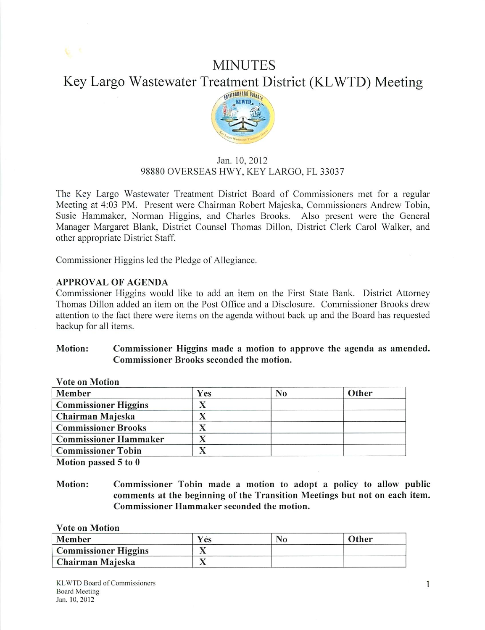# **MINUTES** Key Largo Wastewater Treatment District (KLWTD) Meeting



# Jan. 10,2012 98880 OVERSEAS HWY, KEY LARGO, FL 33037

The Key Largo Wastewater Treatment District Board of Commissioners met for a regular Meeting at 4:03 PM. Present were Chairman Robert Majeska, Commissioners Andrew Tobin, Susie Hammaker, Norman Higgins, and Charles Brooks. Also present were the General Manager Margaret Blank. District Counsel Thomas Dillon. District Clerk Carol Walker, and other appropriate District Staff.

Commissioner Higgins led the Pledge of Allegiance.

# *APPROVAL OF AGENDA*

Commissioner Higgins would like to add an item on the First State Bank. District Attorney Thomas Dillon added an item on the Post Office and a Disclosure. Commissioner Brooks drew attention to the fact there were items on the agenda without back up and the Board has requested backup for all items.

## *Motion: Commissioner Higgins made a motion to approve the agenda as amended. Commissioner Brooks seconded the motion.*

| vote on <i>viotion</i>       |            |                |       |
|------------------------------|------------|----------------|-------|
| Member                       | <b>Yes</b> | N <sub>0</sub> | Other |
| <b>Commissioner Higgins</b>  |            |                |       |
| Chairman Majeska             |            |                |       |
| <b>Commissioner Brooks</b>   |            |                |       |
| <b>Commissioner Hammaker</b> |            |                |       |
| <b>Commissioner Tobin</b>    |            |                |       |
|                              |            |                |       |

*Vote on Motion*

*Motion passed 5 to 0*

## *Motion: Commissioner Tobin made a motion to adopt a policy to allow public comments at the beginning of the Transition Meetings but not on each item. Commissioner Hammaker seconded the motion.*

*Vote on Motion*

| <b>Member</b>               | Y és | Other |
|-----------------------------|------|-------|
| <b>Commissioner Higgins</b> |      |       |
| Chairman Majeska            |      |       |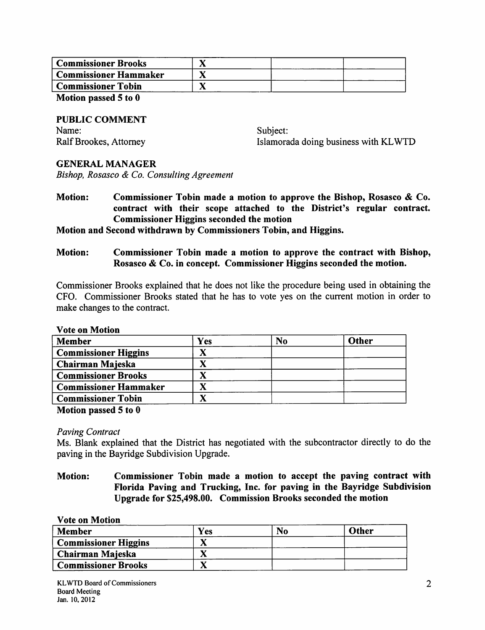| <b>Commissioner Brooks</b> |  |  |
|----------------------------|--|--|
| Commissioner Hammaker      |  |  |
| Commissioner Tobin         |  |  |
|                            |  |  |

*Motion passed 5 to 0*

*PUBLIC COMMENT* Name: Ralf Brookes, Attorney

Subject: Islamorada doing business with KLWTD

## *GENERAL MANAGER*

**Bishop, Rosasco & Co. Consulting Agreement**

*Motion: Commissioner Tobin made a motion to approve the Bishop, Rosasco & Co. contract with their scope attached to the District's regular contract. Commissioner Higgins seconded the motion*

## *Motion and Second withdrawn by Commissioners Tobin, and Higgins.*

*Motion: Commissioner Tobin made a motion to approve the contract with Bishop, Rosasco & Co. in concept. Commissioner Higgins seconded the motion.*

Commissioner Brooks explained that he does not like the procedure being used in obtaining the CFO. Commissioner Brooks stated that he has to vote yes on the current motion in order to make changes to the contract.

#### *Vote on Motion*

| Member                       | Yes | No | Other |
|------------------------------|-----|----|-------|
| <b>Commissioner Higgins</b>  |     |    |       |
| Chairman Majeska             |     |    |       |
| <b>Commissioner Brooks</b>   |     |    |       |
| <b>Commissioner Hammaker</b> |     |    |       |
| <b>Commissioner Tobin</b>    |     |    |       |

*Motion passed 5 to 0*

## **Paving Contract**

Ms. Blank explained that the District has negotiated with the subcontractor directly to do the paving in the Bayridge Subdivision Upgrade.

*Motion: Commissioner Tobin made a motion to accept the paving contract with Florida Paving and Trucking, Inc. for paving in the Bayridge Subdivision Upgrade for \$25,498.00. Commission Brooks seconded the motion*

| <b>Vote on Motion</b>       |     |    |       |
|-----------------------------|-----|----|-------|
| <b>Member</b>               | Yes | No | Other |
| <b>Commissioner Higgins</b> |     |    |       |
| Chairman Majeska            |     |    |       |
| <b>Commissioner Brooks</b>  |     |    |       |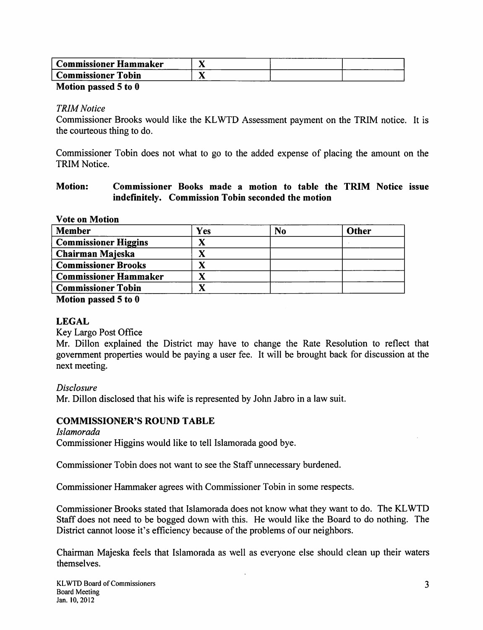| . Commissioner Hammaker      |     |  |
|------------------------------|-----|--|
| <b>Commissioner</b><br>Tobin | . . |  |
|                              |     |  |

#### *Motion passed 5 to 0*

## **TRIMNotice**

Commissioner Brooks would like the KLWTD Assessment payment on the TRIM notice. It is the courteous thing to do.

Commissioner Tobin does not what to go to the added expense of placing the amount on the TRIM Notice.

## *Motion: Commissioner Books made <sup>a</sup> motion to table the TRIM Notice issue indefinitely. Commission Tobin seconded the motion*

## *Vote on Motion*

| <b>Member</b>                | Yes | N <sub>0</sub> | Other |
|------------------------------|-----|----------------|-------|
| <b>Commissioner Higgins</b>  |     |                |       |
| Chairman Majeska             |     |                |       |
| <b>Commissioner Brooks</b>   |     |                |       |
| <b>Commissioner Hammaker</b> |     |                |       |
| <b>Commissioner Tobin</b>    |     |                |       |
|                              |     |                |       |

*Motion passed 5 to 0*

# *LEGAL*

Key Largo Post Office

Mr. Dillon explained the District may have to change the Rate Resolution to reflect that government properties would be paying a user fee. It will be brought back for discussion at the next meeting.

## **Disclosure**

Mr. Dillon disclosed that his wife is represented by John Jabro in a law suit.

# *COMMISSIONER'S ROUND TABLE*

**Islamorada** Commissioner Higgins would like to tell Islamorada good bye.

Commissioner Tobin does not want to see the Staff unnecessary burdened.

Commissioner Hammaker agrees with Commissioner Tobin in some respects.

Commissioner Brooks stated that Islamorada does not know what they want to do. The KLWTD Staff does not need to be bogged down with this. He would like the Board to do nothing. The District cannot loose it's efficiency because of the problems of our neighbors.

Chairman Majeska feels that Islamorada as well as everyone else should clean up their waters themselves.